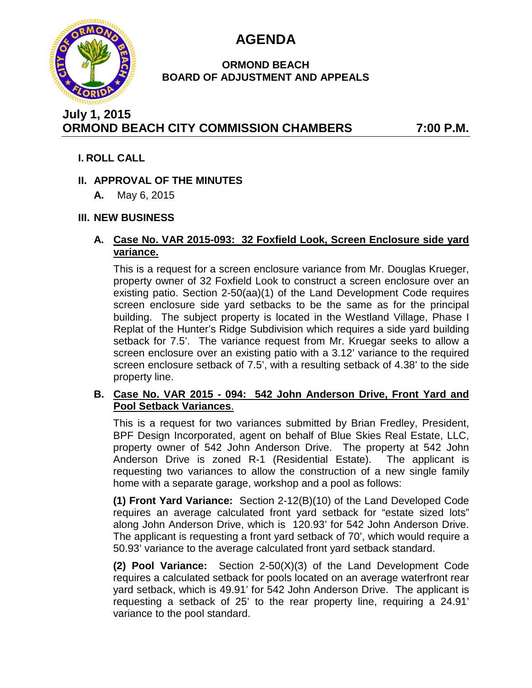

# **AGENDA**

#### **ORMOND BEACH BOARD OF ADJUSTMENT AND APPEALS**

# **July 1, 2015 ORMOND BEACH CITY COMMISSION CHAMBERS 7:00 P.M.**

## **I. ROLL CALL**

## **II. APPROVAL OF THE MINUTES**

**A.** May 6, 2015

# **III. NEW BUSINESS**

#### **A. Case No. VAR 2015-093: 32 Foxfield Look, Screen Enclosure side yard variance.**

This is a request for a screen enclosure variance from Mr. Douglas Krueger, property owner of 32 Foxfield Look to construct a screen enclosure over an existing patio. Section 2-50(aa)(1) of the Land Development Code requires screen enclosure side yard setbacks to be the same as for the principal building. The subject property is located in the Westland Village, Phase I Replat of the Hunter's Ridge Subdivision which requires a side yard building setback for 7.5'. The variance request from Mr. Kruegar seeks to allow a screen enclosure over an existing patio with a 3.12' variance to the required screen enclosure setback of 7.5', with a resulting setback of 4.38' to the side property line.

#### **B. Case No. VAR 2015 - 094: 542 John Anderson Drive, Front Yard and Pool Setback Variances**.

This is a request for two variances submitted by Brian Fredley, President, BPF Design Incorporated, agent on behalf of Blue Skies Real Estate, LLC, property owner of 542 John Anderson Drive. The property at 542 John Anderson Drive is zoned R-1 (Residential Estate). The applicant is requesting two variances to allow the construction of a new single family home with a separate garage, workshop and a pool as follows:

**(1) Front Yard Variance:** Section 2-12(B)(10) of the Land Developed Code requires an average calculated front yard setback for "estate sized lots" along John Anderson Drive, which is 120.93' for 542 John Anderson Drive. The applicant is requesting a front yard setback of 70', which would require a 50.93' variance to the average calculated front yard setback standard.

**(2) Pool Variance:** Section 2-50(X)(3) of the Land Development Code requires a calculated setback for pools located on an average waterfront rear yard setback, which is 49.91' for 542 John Anderson Drive. The applicant is requesting a setback of 25' to the rear property line, requiring a 24.91' variance to the pool standard.